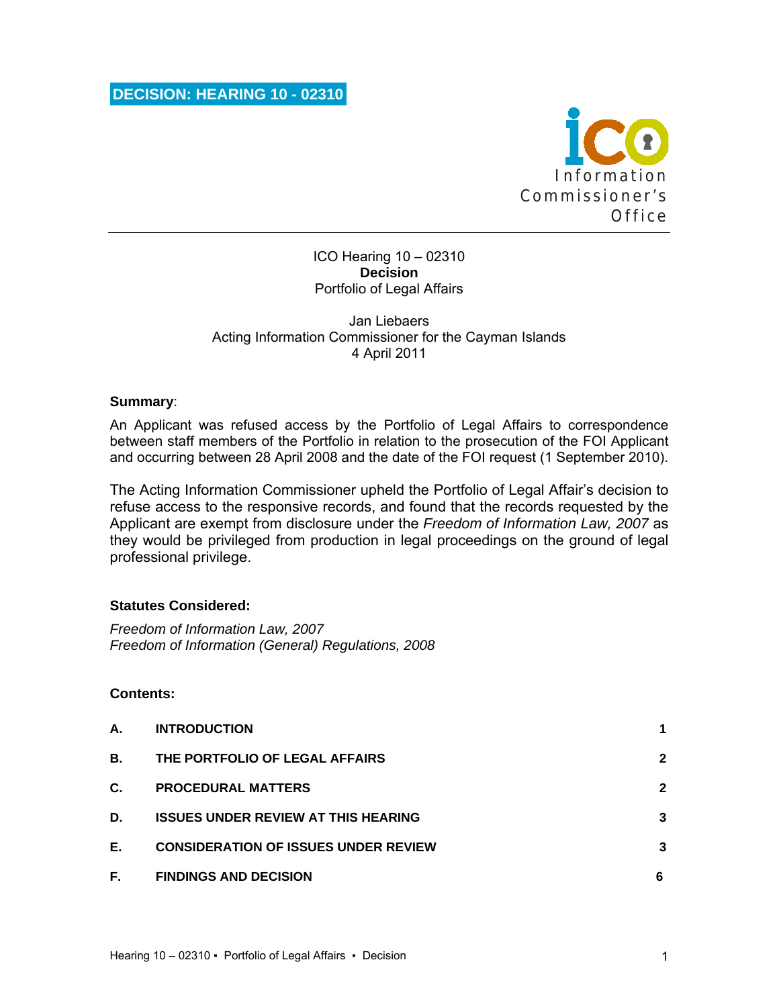

### ICO Hearing 10 – 02310 **Decision**  Portfolio of Legal Affairs

### Jan Liebaers Acting Information Commissioner for the Cayman Islands 4 April 2011

### **Summary**:

An Applicant was refused access by the Portfolio of Legal Affairs to correspondence between staff members of the Portfolio in relation to the prosecution of the FOI Applicant and occurring between 28 April 2008 and the date of the FOI request (1 September 2010).

The Acting Information Commissioner upheld the Portfolio of Legal Affair's decision to refuse access to the responsive records, and found that the records requested by the Applicant are exempt from disclosure under the *Freedom of Information Law, 2007* as they would be privileged from production in legal proceedings on the ground of legal professional privilege.

## **Statutes Considered:**

*Freedom of Information Law, 2007 Freedom of Information (General) Regulations, 2008* 

## **Contents:**

| А. | <b>INTRODUCTION</b>                         |              |
|----|---------------------------------------------|--------------|
| В. | THE PORTFOLIO OF LEGAL AFFAIRS              | $\mathbf{2}$ |
| C. | <b>PROCEDURAL MATTERS</b>                   | $\mathbf{2}$ |
| D. | <b>ISSUES UNDER REVIEW AT THIS HEARING</b>  | 3            |
| Е. | <b>CONSIDERATION OF ISSUES UNDER REVIEW</b> | 3            |
| F. | <b>FINDINGS AND DECISION</b>                | 6            |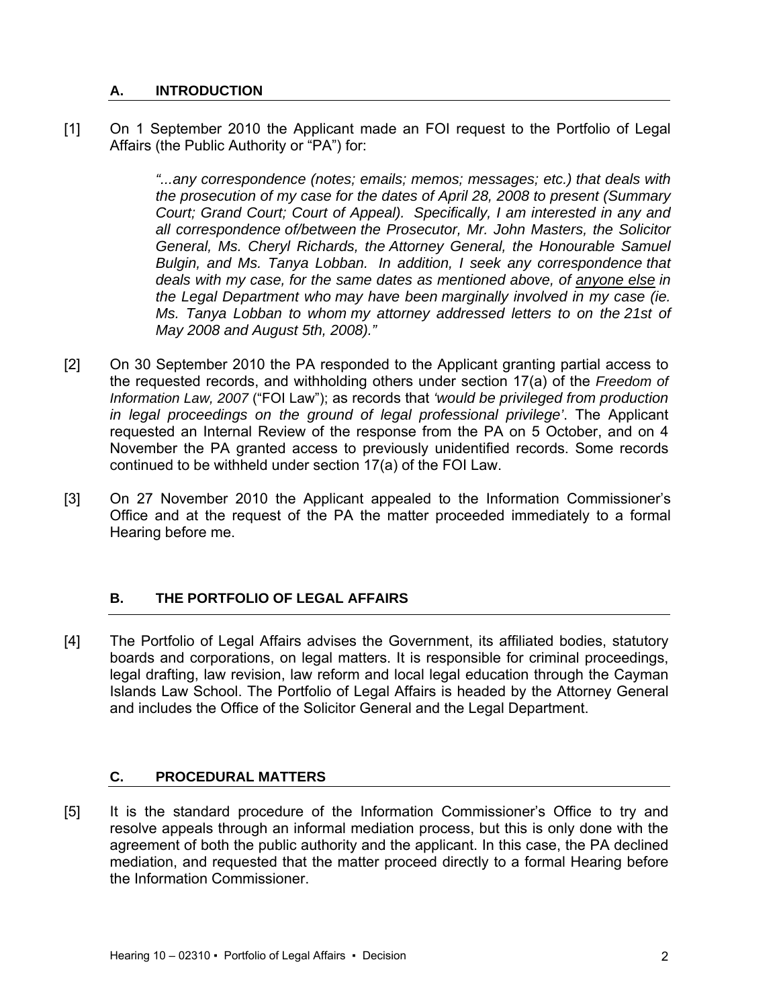# **A. INTRODUCTION**

[1] On 1 September 2010 the Applicant made an FOI request to the Portfolio of Legal Affairs (the Public Authority or "PA") for:

> *"...any correspondence (notes; emails; memos; messages; etc.) that deals with the prosecution of my case for the dates of April 28, 2008 to present (Summary Court; Grand Court; Court of Appeal). Specifically, I am interested in any and all correspondence of/between the Prosecutor, Mr. John Masters, the Solicitor General, Ms. Cheryl Richards, the Attorney General, the Honourable Samuel Bulgin, and Ms. Tanya Lobban. In addition, I seek any correspondence that deals with my case, for the same dates as mentioned above, of anyone else in the Legal Department who may have been marginally involved in my case (ie. Ms. Tanya Lobban to whom my attorney addressed letters to on the 21st of May 2008 and August 5th, 2008)."*

- [2] On 30 September 2010 the PA responded to the Applicant granting partial access to the requested records, and withholding others under section 17(a) of the *Freedom of Information Law, 2007* ("FOI Law"); as records that *'would be privileged from production in legal proceedings on the ground of legal professional privilege'*. The Applicant requested an Internal Review of the response from the PA on 5 October, and on 4 November the PA granted access to previously unidentified records. Some records continued to be withheld under section 17(a) of the FOI Law.
- [3] On 27 November 2010 the Applicant appealed to the Information Commissioner's Office and at the request of the PA the matter proceeded immediately to a formal Hearing before me.

# **B. THE PORTFOLIO OF LEGAL AFFAIRS**

[4] The Portfolio of Legal Affairs advises the Government, its affiliated bodies, statutory boards and corporations, on legal matters. It is responsible for criminal proceedings, legal drafting, law revision, law reform and local legal education through the Cayman Islands Law School. The Portfolio of Legal Affairs is headed by the Attorney General and includes the Office of the Solicitor General and the Legal Department.

# **C. PROCEDURAL MATTERS**

[5] It is the standard procedure of the Information Commissioner's Office to try and resolve appeals through an informal mediation process, but this is only done with the agreement of both the public authority and the applicant. In this case, the PA declined mediation, and requested that the matter proceed directly to a formal Hearing before the Information Commissioner.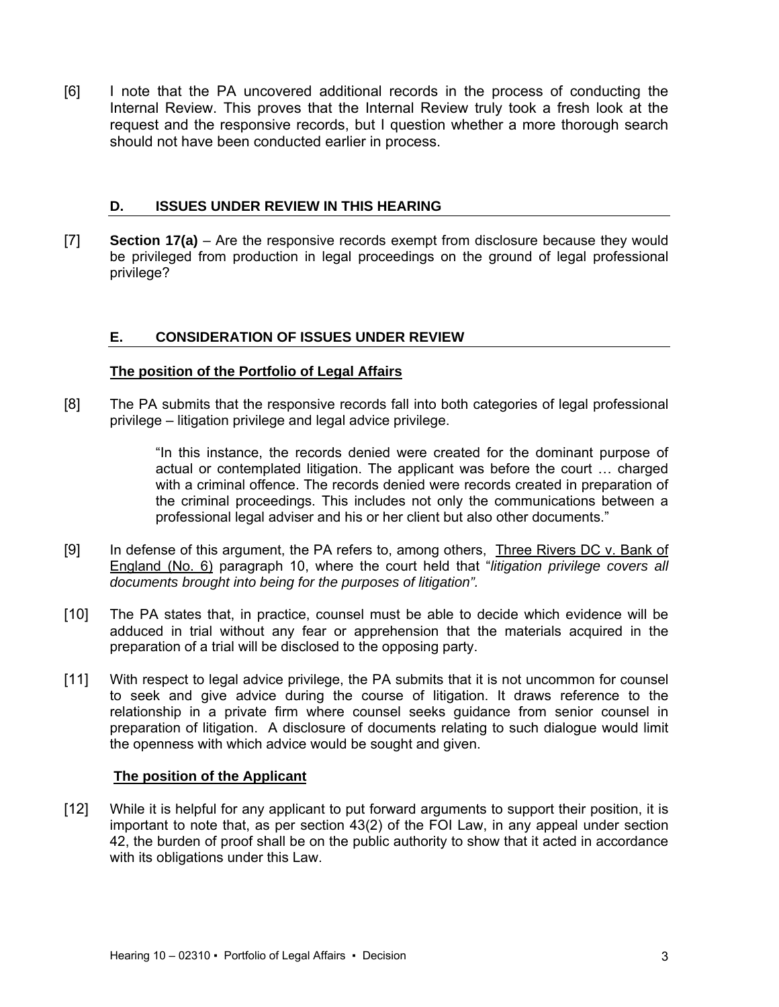[6] I note that the PA uncovered additional records in the process of conducting the Internal Review. This proves that the Internal Review truly took a fresh look at the request and the responsive records, but I question whether a more thorough search should not have been conducted earlier in process.

## **D. ISSUES UNDER REVIEW IN THIS HEARING**

[7] **Section 17(a)** – Are the responsive records exempt from disclosure because they would be privileged from production in legal proceedings on the ground of legal professional privilege?

## **E. CONSIDERATION OF ISSUES UNDER REVIEW**

### **The position of the Portfolio of Legal Affairs**

[8] The PA submits that the responsive records fall into both categories of legal professional privilege – litigation privilege and legal advice privilege.

> "In this instance, the records denied were created for the dominant purpose of actual or contemplated litigation. The applicant was before the court … charged with a criminal offence. The records denied were records created in preparation of the criminal proceedings. This includes not only the communications between a professional legal adviser and his or her client but also other documents."

- [9] In defense of this argument, the PA refers to, among others, Three Rivers DC v. Bank of England (No. 6) paragraph 10, where the court held that "*litigation privilege covers all documents brought into being for the purposes of litigation".*
- [10] The PA states that, in practice, counsel must be able to decide which evidence will be adduced in trial without any fear or apprehension that the materials acquired in the preparation of a trial will be disclosed to the opposing party.
- [11] With respect to legal advice privilege, the PA submits that it is not uncommon for counsel to seek and give advice during the course of litigation. It draws reference to the relationship in a private firm where counsel seeks guidance from senior counsel in preparation of litigation. A disclosure of documents relating to such dialogue would limit the openness with which advice would be sought and given.

### **The position of the Applicant**

[12] While it is helpful for any applicant to put forward arguments to support their position, it is important to note that, as per section 43(2) of the FOI Law, in any appeal under section 42, the burden of proof shall be on the public authority to show that it acted in accordance with its obligations under this Law.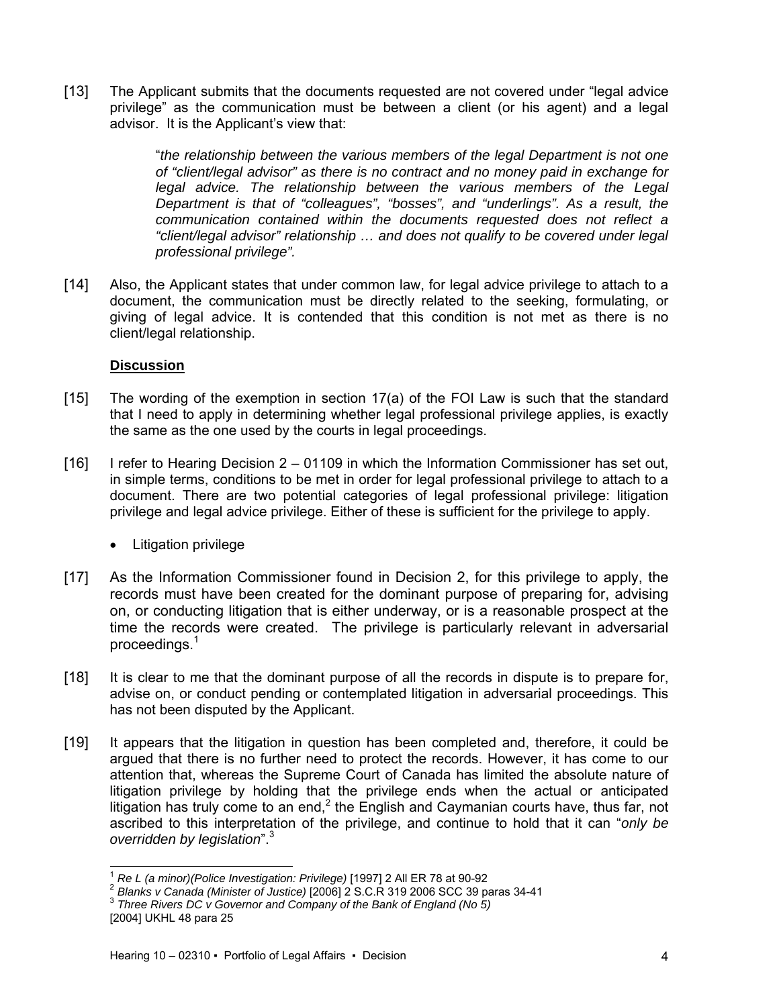[13] The Applicant submits that the documents requested are not covered under "legal advice privilege" as the communication must be between a client (or his agent) and a legal advisor. It is the Applicant's view that:

> "*the relationship between the various members of the legal Department is not one of "client/legal advisor" as there is no contract and no money paid in exchange for legal advice. The relationship between the various members of the Legal Department is that of "colleagues", "bosses", and "underlings". As a result, the communication contained within the documents requested does not reflect a "client/legal advisor" relationship … and does not qualify to be covered under legal professional privilege".*

[14] Also, the Applicant states that under common law, for legal advice privilege to attach to a document, the communication must be directly related to the seeking, formulating, or giving of legal advice. It is contended that this condition is not met as there is no client/legal relationship.

## **Discussion**

- [15] The wording of the exemption in section 17(a) of the FOI Law is such that the standard that I need to apply in determining whether legal professional privilege applies, is exactly the same as the one used by the courts in legal proceedings.
- [16] I refer to Hearing Decision 2 01109 in which the Information Commissioner has set out, in simple terms, conditions to be met in order for legal professional privilege to attach to a document. There are two potential categories of legal professional privilege: litigation privilege and legal advice privilege. Either of these is sufficient for the privilege to apply.
	- Litigation privilege
- [17] As the Information Commissioner found in Decision 2, for this privilege to apply, the records must have been created for the dominant purpose of preparing for, advising on, or conducting litigation that is either underway, or is a reasonable prospect at the time the records were created. The privilege is particularly relevant in adversarial proceedings.1
- [18] It is clear to me that the dominant purpose of all the records in dispute is to prepare for, advise on, or conduct pending or contemplated litigation in adversarial proceedings. This has not been disputed by the Applicant.
- [19] It appears that the litigation in question has been completed and, therefore, it could be argued that there is no further need to protect the records. However, it has come to our attention that, whereas the Supreme Court of Canada has limited the absolute nature of litigation privilege by holding that the privilege ends when the actual or anticipated litigation has truly come to an end,<sup>2</sup> the English and Caymanian courts have, thus far, not ascribed to this interpretation of the privilege, and continue to hold that it can "*only be overridden by legislation*".<sup>3</sup>

l

<sup>&</sup>lt;sup>1</sup> Re L (a minor)(Police Investigation: Privilege) [1997] 2 All ER 78 at 90-92<br><sup>2</sup> Blanks v Canada (Minister of Justice) [2006] 2 S.C.R 319 2006 SCC 39 paras 34-41<br><sup>3</sup> Three Rivers DC v Governor and Company of the Bank o

<sup>[2004]</sup> UKHL 48 para 25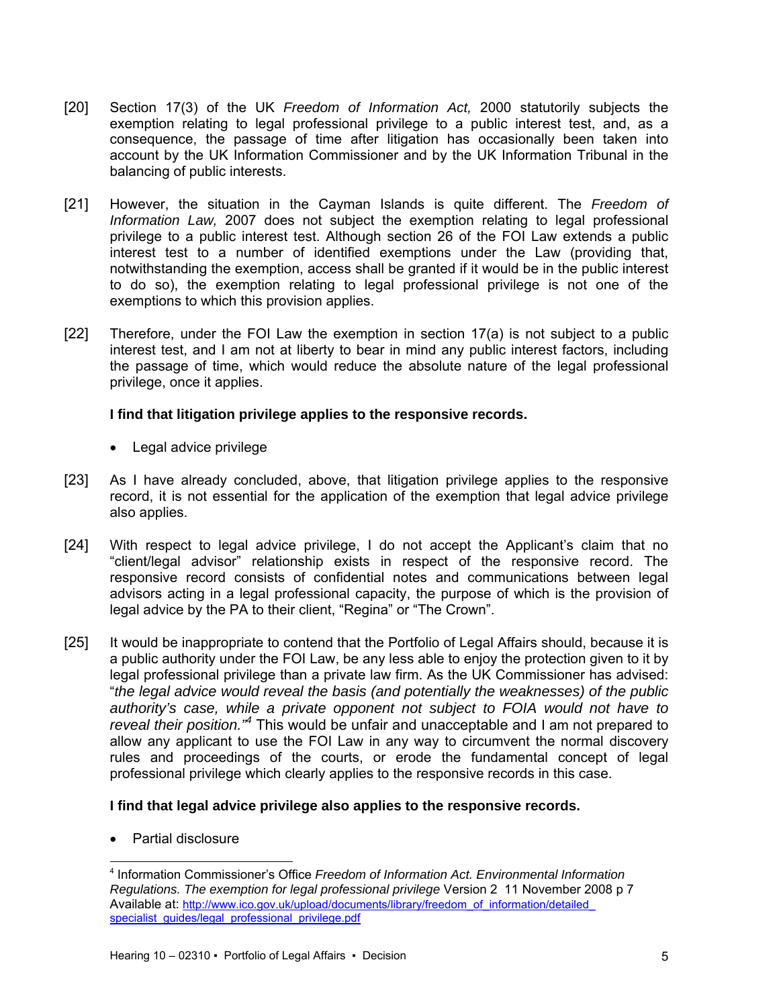- [20] Section 17(3) of the UK *Freedom of Information Act,* 2000 statutorily subjects the exemption relating to legal professional privilege to a public interest test, and, as a consequence, the passage of time after litigation has occasionally been taken into account by the UK Information Commissioner and by the UK Information Tribunal in the balancing of public interests.
- [21] However, the situation in the Cayman Islands is quite different. The *Freedom of Information Law,* 2007 does not subject the exemption relating to legal professional privilege to a public interest test. Although section 26 of the FOI Law extends a public interest test to a number of identified exemptions under the Law (providing that, notwithstanding the exemption, access shall be granted if it would be in the public interest to do so), the exemption relating to legal professional privilege is not one of the exemptions to which this provision applies.
- [22] Therefore, under the FOI Law the exemption in section 17(a) is not subject to a public interest test, and I am not at liberty to bear in mind any public interest factors, including the passage of time, which would reduce the absolute nature of the legal professional privilege, once it applies.

### **I find that litigation privilege applies to the responsive records.**

- Legal advice privilege
- [23] As I have already concluded, above, that litigation privilege applies to the responsive record, it is not essential for the application of the exemption that legal advice privilege also applies.
- [24] With respect to legal advice privilege, I do not accept the Applicant's claim that no "client/legal advisor" relationship exists in respect of the responsive record. The responsive record consists of confidential notes and communications between legal advisors acting in a legal professional capacity, the purpose of which is the provision of legal advice by the PA to their client, "Regina" or "The Crown".
- [25] It would be inappropriate to contend that the Portfolio of Legal Affairs should, because it is a public authority under the FOI Law, be any less able to enjoy the protection given to it by legal professional privilege than a private law firm. As the UK Commissioner has advised: "*the legal advice would reveal the basis (and potentially the weaknesses) of the public authority's case, while a private opponent not subject to FOIA would not have to*  reveal their position.<sup>"4</sup> This would be unfair and unacceptable and I am not prepared to allow any applicant to use the FOI Law in any way to circumvent the normal discovery rules and proceedings of the courts, or erode the fundamental concept of legal professional privilege which clearly applies to the responsive records in this case.

### **I find that legal advice privilege also applies to the responsive records.**

Partial disclosure

l

<sup>4</sup> Information Commissioner's Office *Freedom of Information Act. Environmental Information Regulations. The exemption for legal professional privilege* Version 2 11 November 2008 p 7 Available at: http://www.ico.gov.uk/upload/documents/library/freedom\_of\_information/detailed specialist\_quides/legal\_professional\_privilege.pdf